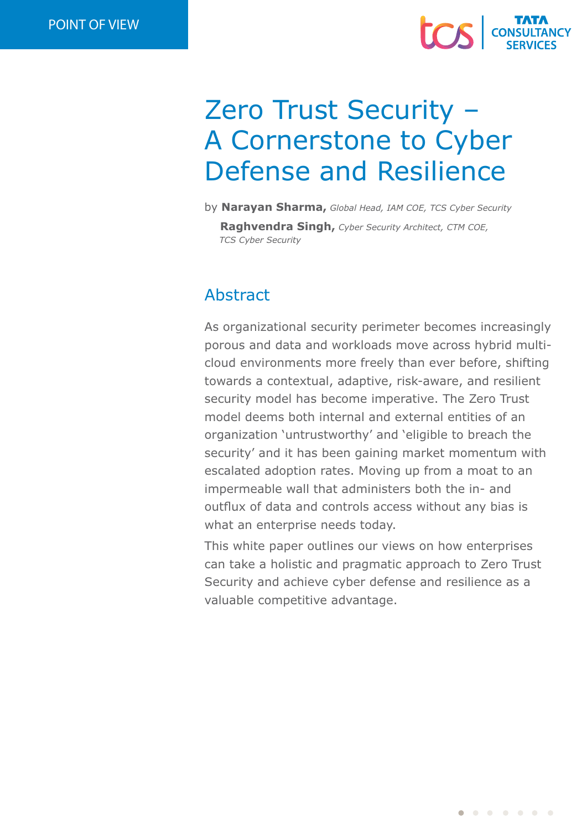

# Zero Trust Security – A Cornerstone to Cyber Defense and Resilience

by **Narayan Sharma,** *Global Head, IAM COE, TCS Cyber Security*

**Raghvendra Singh,** *Cyber Security Architect, CTM COE, TCS Cyber Security*

# Abstract

As organizational security perimeter becomes increasingly porous and data and workloads move across hybrid multicloud environments more freely than ever before, shifting towards a contextual, adaptive, risk-aware, and resilient security model has become imperative. The Zero Trust model deems both internal and external entities of an organization 'untrustworthy' and 'eligible to breach the security' and it has been gaining market momentum with escalated adoption rates. Moving up from a moat to an impermeable wall that administers both the in- and outflux of data and controls access without any bias is what an enterprise needs today.

This white paper outlines our views on how enterprises can take a holistic and pragmatic approach to Zero Trust Security and achieve cyber defense and resilience as a valuable competitive advantage.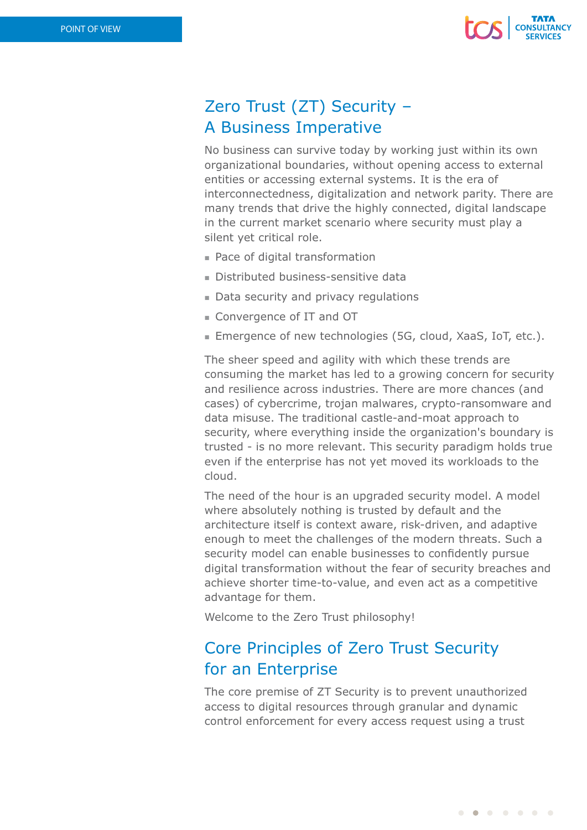

# Zero Trust (ZT) Security – A Business Imperative

No business can survive today by working just within its own organizational boundaries, without opening access to external entities or accessing external systems. It is the era of interconnectedness, digitalization and network parity. There are many trends that drive the highly connected, digital landscape in the current market scenario where security must play a silent yet critical role.

- Pace of digital transformation
- Distributed business-sensitive data
- Data security and privacy regulations
- **n** Convergence of IT and OT
- Emergence of new technologies (5G, cloud, XaaS, IoT, etc.).

The sheer speed and agility with which these trends are consuming the market has led to a growing concern for security and resilience across industries. There are more chances (and cases) of cybercrime, trojan malwares, crypto-ransomware and data misuse. The traditional castle-and-moat approach to security, where everything inside the organization's boundary is trusted - is no more relevant. This security paradigm holds true even if the enterprise has not yet moved its workloads to the cloud.

The need of the hour is an upgraded security model. A model where absolutely nothing is trusted by default and the architecture itself is context aware, risk-driven, and adaptive enough to meet the challenges of the modern threats. Such a security model can enable businesses to confidently pursue digital transformation without the fear of security breaches and achieve shorter time-to-value, and even act as a competitive advantage for them.

Welcome to the Zero Trust philosophy!

# Core Principles of Zero Trust Security for an Enterprise

The core premise of ZT Security is to prevent unauthorized access to digital resources through granular and dynamic control enforcement for every access request using a trust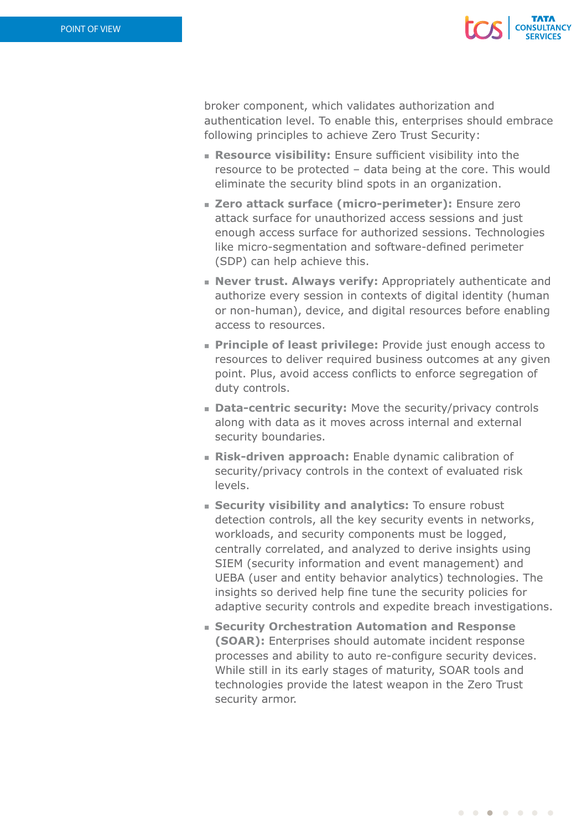

broker component, which validates authorization and authentication level. To enable this, enterprises should embrace following principles to achieve Zero Trust Security:

- **Resource visibility:** Ensure sufficient visibility into the resource to be protected – data being at the core. This would eliminate the security blind spots in an organization.
- **Example 7 attack surface (micro-perimeter):** Ensure zero attack surface for unauthorized access sessions and just enough access surface for authorized sessions. Technologies like micro-segmentation and software-defined perimeter (SDP) can help achieve this.
- **Never trust. Always verify:** Appropriately authenticate and authorize every session in contexts of digital identity (human or non-human), device, and digital resources before enabling access to resources.
- **Principle of least privilege:** Provide just enough access to resources to deliver required business outcomes at any given point. Plus, avoid access conflicts to enforce segregation of duty controls.
- **Data-centric security:** Move the security/privacy controls along with data as it moves across internal and external security boundaries.
- **Risk-driven approach:** Enable dynamic calibration of security/privacy controls in the context of evaluated risk levels.
- **s** Security visibility and analytics: To ensure robust detection controls, all the key security events in networks, workloads, and security components must be logged, centrally correlated, and analyzed to derive insights using SIEM (security information and event management) and UEBA (user and entity behavior analytics) technologies. The insights so derived help fine tune the security policies for adaptive security controls and expedite breach investigations.
- **Example 2 Security Orchestration Automation and Response (SOAR):** Enterprises should automate incident response processes and ability to auto re-configure security devices. While still in its early stages of maturity, SOAR tools and technologies provide the latest weapon in the Zero Trust security armor.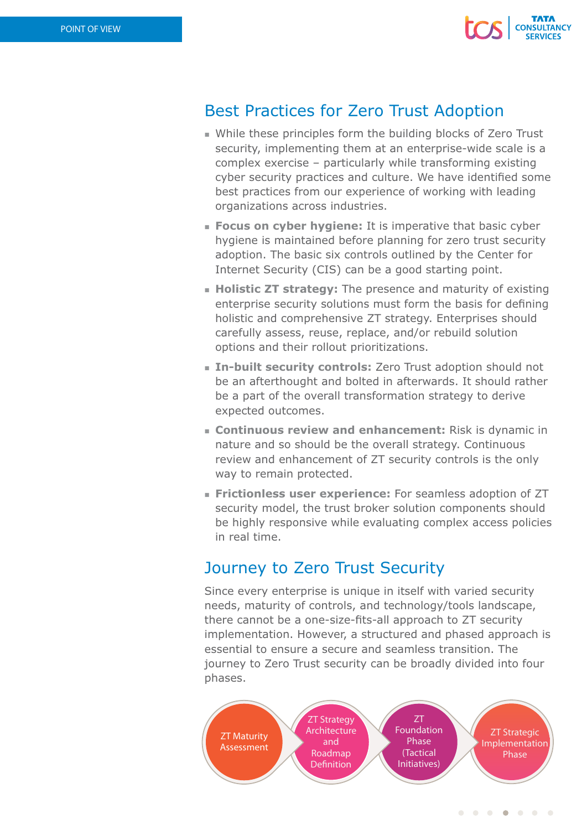

### Best Practices for Zero Trust Adoption

- While these principles form the building blocks of Zero Trust security, implementing them at an enterprise-wide scale is a complex exercise – particularly while transforming existing cyber security practices and culture. We have identified some best practices from our experience of working with leading organizations across industries.
- **Focus on cyber hygiene:** It is imperative that basic cyber hygiene is maintained before planning for zero trust security adoption. The basic six controls outlined by the Center for Internet Security (CIS) can be a good starting point.
- **Holistic ZT strategy:** The presence and maturity of existing enterprise security solutions must form the basis for defining holistic and comprehensive ZT strategy. Enterprises should carefully assess, reuse, replace, and/or rebuild solution options and their rollout prioritizations.
- **In-built security controls:** Zero Trust adoption should not be an afterthought and bolted in afterwards. It should rather be a part of the overall transformation strategy to derive expected outcomes.
- **EX Continuous review and enhancement:** Risk is dynamic in nature and so should be the overall strategy. Continuous review and enhancement of ZT security controls is the only way to remain protected.
- **Frictionless user experience:** For seamless adoption of ZT security model, the trust broker solution components should be highly responsive while evaluating complex access policies in real time.

# Journey to Zero Trust Security

Since every enterprise is unique in itself with varied security needs, maturity of controls, and technology/tools landscape, there cannot be a one-size-fits-all approach to ZT security implementation. However, a structured and phased approach is essential to ensure a secure and seamless transition. The journey to Zero Trust security can be broadly divided into four phases.



. . . . . . .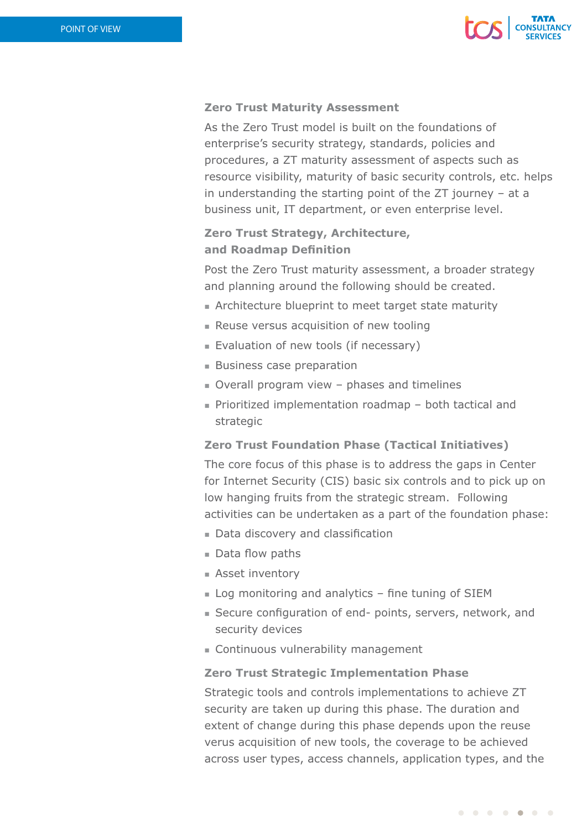

### **Zero Trust Maturity Assessment**

As the Zero Trust model is built on the foundations of enterprise's security strategy, standards, policies and procedures, a ZT maturity assessment of aspects such as resource visibility, maturity of basic security controls, etc. helps in understanding the starting point of the ZT journey – at a business unit, IT department, or even enterprise level.

### **Zero Trust Strategy, Architecture, and Roadmap Definition**

Post the Zero Trust maturity assessment, a broader strategy and planning around the following should be created.

- n Architecture blueprint to meet target state maturity
- **Reuse versus acquisition of new tooling**
- Evaluation of new tools (if necessary)
- $B$  Business case preparation
- $\blacksquare$  Overall program view phases and timelines
- Prioritized implementation roadmap both tactical and strategic

### **Zero Trust Foundation Phase (Tactical Initiatives)**

The core focus of this phase is to address the gaps in Center for Internet Security (CIS) basic six controls and to pick up on low hanging fruits from the strategic stream. Following activities can be undertaken as a part of the foundation phase:

- Data discovery and classification
- $\blacksquare$  Data flow paths
- **Asset inventory**
- $\blacksquare$  Log monitoring and analytics fine tuning of SIEM
- Secure configuration of end- points, servers, network, and security devices
- Continuous vulnerability management

### **Zero Trust Strategic Implementation Phase**

Strategic tools and controls implementations to achieve ZT security are taken up during this phase. The duration and extent of change during this phase depends upon the reuse verus acquisition of new tools, the coverage to be achieved across user types, access channels, application types, and the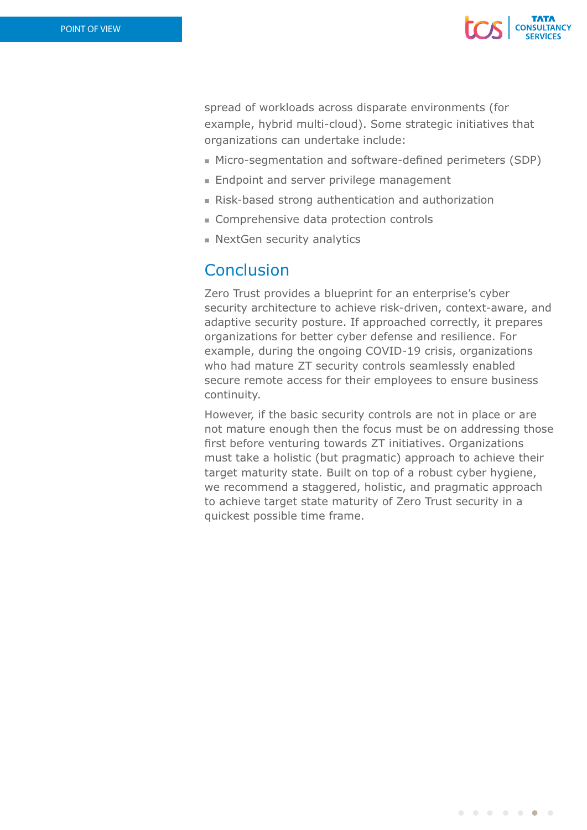

spread of workloads across disparate environments (for example, hybrid multi-cloud). Some strategic initiatives that organizations can undertake include:

- $\blacksquare$  Micro-segmentation and software-defined perimeters (SDP)
- $\blacksquare$  Endpoint and server privilege management
- <sup>n</sup> Risk-based strong authentication and authorization
- Comprehensive data protection controls
- $\blacksquare$  NextGen security analytics

### **Conclusion**

Zero Trust provides a blueprint for an enterprise's cyber security architecture to achieve risk-driven, context-aware, and adaptive security posture. If approached correctly, it prepares organizations for better cyber defense and resilience. For example, during the ongoing COVID-19 crisis, organizations who had mature ZT security controls seamlessly enabled secure remote access for their employees to ensure business continuity.

However, if the basic security controls are not in place or are not mature enough then the focus must be on addressing those first before venturing towards ZT initiatives. Organizations must take a holistic (but pragmatic) approach to achieve their target maturity state. Built on top of a robust cyber hygiene, we recommend a staggered, holistic, and pragmatic approach to achieve target state maturity of Zero Trust security in a quickest possible time frame.